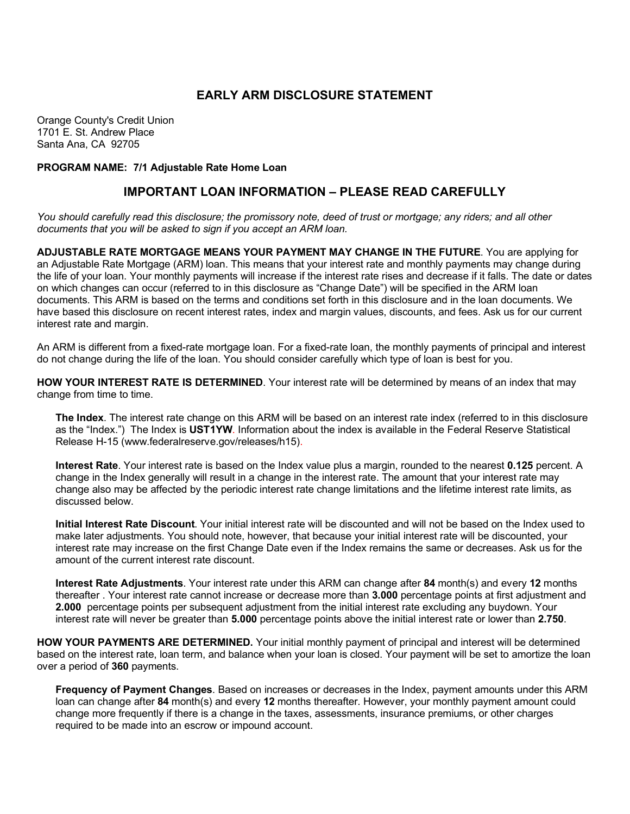## **EARLY ARM DISCLOSURE STATEMENT**

Orange County's Credit Union 1701 E. St. Andrew Place Santa Ana, CA 92705

**PROGRAM NAME: 7/1 Adjustable Rate Home Loan**

## **IMPORTANT LOAN INFORMATION – PLEASE READ CAREFULLY**

*You should carefully read this disclosure; the promissory note, deed of trust or mortgage; any riders; and all other documents that you will be asked to sign if you accept an ARM loan.*

**ADJUSTABLE RATE MORTGAGE MEANS YOUR PAYMENT MAY CHANGE IN THE FUTURE**. You are applying for an Adjustable Rate Mortgage (ARM) loan. This means that your interest rate and monthly payments may change during the life of your loan. Your monthly payments will increase if the interest rate rises and decrease if it falls. The date or dates on which changes can occur (referred to in this disclosure as "Change Date") will be specified in the ARM loan documents. This ARM is based on the terms and conditions set forth in this disclosure and in the loan documents. We have based this disclosure on recent interest rates, index and margin values, discounts, and fees. Ask us for our current interest rate and margin.

An ARM is different from a fixed-rate mortgage loan. For a fixed-rate loan, the monthly payments of principal and interest do not change during the life of the loan. You should consider carefully which type of loan is best for you.

**HOW YOUR INTEREST RATE IS DETERMINED**. Your interest rate will be determined by means of an index that may change from time to time.

**The Index**. The interest rate change on this ARM will be based on an interest rate index (referred to in this disclosure as the "Index.") The Index is **UST1YW**. Information about the index is available in the Federal Reserve Statistical Release H-15 (www.federalreserve.gov/releases/h15).

**Interest Rate**. Your interest rate is based on the Index value plus a margin, rounded to the nearest **0.125** percent. A change in the Index generally will result in a change in the interest rate. The amount that your interest rate may change also may be affected by the periodic interest rate change limitations and the lifetime interest rate limits, as discussed below.

**Initial Interest Rate Discount**. Your initial interest rate will be discounted and will not be based on the Index used to make later adjustments. You should note, however, that because your initial interest rate will be discounted, your interest rate may increase on the first Change Date even if the Index remains the same or decreases. Ask us for the amount of the current interest rate discount.

**Interest Rate Adjustments**. Your interest rate under this ARM can change after **84** month(s) and every **12** months thereafter . Your interest rate cannot increase or decrease more than **3.000** percentage points at first adjustment and **2.000** percentage points per subsequent adjustment from the initial interest rate excluding any buydown. Your interest rate will never be greater than **5.000** percentage points above the initial interest rate or lower than **2.750**.

**HOW YOUR PAYMENTS ARE DETERMINED.** Your initial monthly payment of principal and interest will be determined based on the interest rate, loan term, and balance when your loan is closed. Your payment will be set to amortize the loan over a period of **360** payments.

**Frequency of Payment Changes**. Based on increases or decreases in the Index, payment amounts under this ARM loan can change after **84** month(s) and every **12** months thereafter. However, your monthly payment amount could change more frequently if there is a change in the taxes, assessments, insurance premiums, or other charges required to be made into an escrow or impound account.